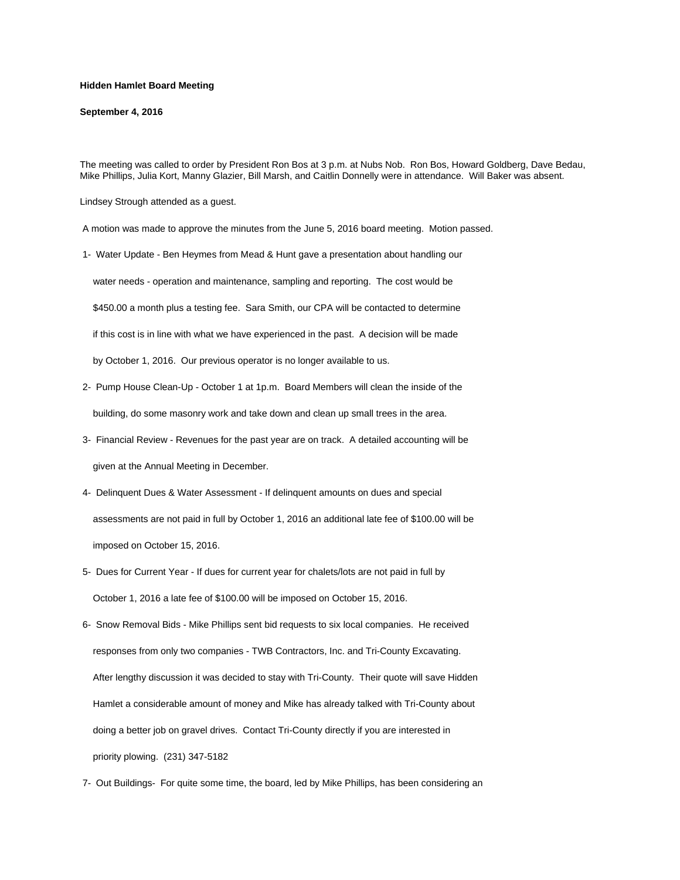## **Hidden Hamlet Board Meeting**

## **September 4, 2016**

The meeting was called to order by President Ron Bos at 3 p.m. at Nubs Nob. Ron Bos, Howard Goldberg, Dave Bedau, Mike Phillips, Julia Kort, Manny Glazier, Bill Marsh, and Caitlin Donnelly were in attendance. Will Baker was absent.

Lindsey Strough attended as a guest.

A motion was made to approve the minutes from the June 5, 2016 board meeting. Motion passed.

1- Water Update - Ben Heymes from Mead & Hunt gave a presentation about handling our

water needs - operation and maintenance, sampling and reporting. The cost would be

\$450.00 a month plus a testing fee. Sara Smith, our CPA will be contacted to determine

if this cost is in line with what we have experienced in the past. A decision will be made

by October 1, 2016. Our previous operator is no longer available to us.

- 2- Pump House Clean-Up October 1 at 1p.m. Board Members will clean the inside of the building, do some masonry work and take down and clean up small trees in the area.
- 3- Financial Review Revenues for the past year are on track. A detailed accounting will be given at the Annual Meeting in December.
- 4- Delinquent Dues & Water Assessment If delinquent amounts on dues and special assessments are not paid in full by October 1, 2016 an additional late fee of \$100.00 will be imposed on October 15, 2016.
- 5- Dues for Current Year If dues for current year for chalets/lots are not paid in full by October 1, 2016 a late fee of \$100.00 will be imposed on October 15, 2016.
- 6- Snow Removal Bids Mike Phillips sent bid requests to six local companies. He received responses from only two companies - TWB Contractors, Inc. and Tri-County Excavating. After lengthy discussion it was decided to stay with Tri-County. Their quote will save Hidden Hamlet a considerable amount of money and Mike has already talked with Tri-County about doing a better job on gravel drives. Contact Tri-County directly if you are interested in priority plowing. (231) 347-5182
- 7- Out Buildings- For quite some time, the board, led by Mike Phillips, has been considering an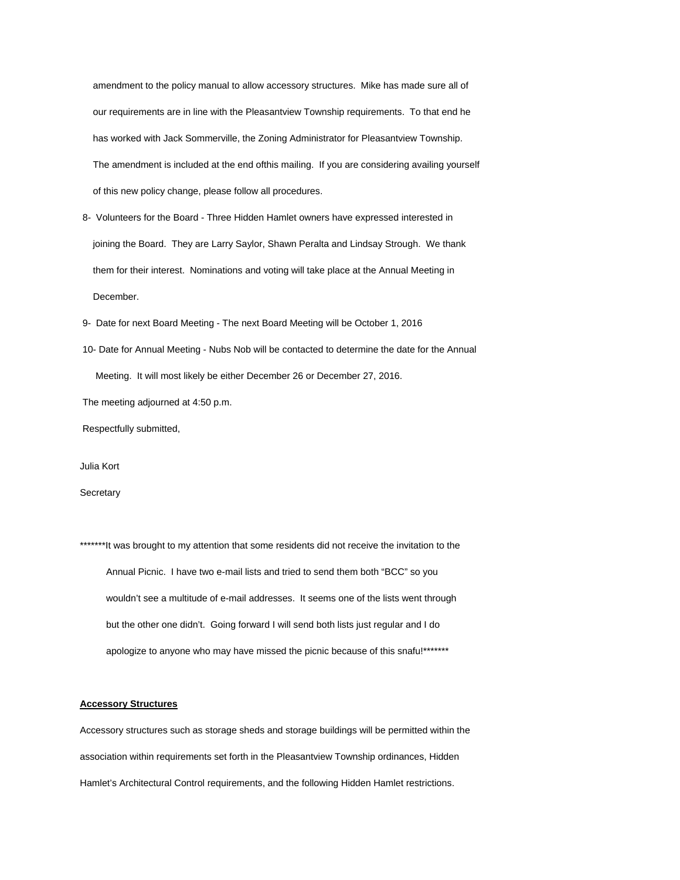amendment to the policy manual to allow accessory structures. Mike has made sure all of our requirements are in line with the Pleasantview Township requirements. To that end he has worked with Jack Sommerville, the Zoning Administrator for Pleasantview Township. The amendment is included at the end ofthis mailing. If you are considering availing yourself of this new policy change, please follow all procedures.

 8- Volunteers for the Board - Three Hidden Hamlet owners have expressed interested in joining the Board. They are Larry Saylor, Shawn Peralta and Lindsay Strough. We thank them for their interest. Nominations and voting will take place at the Annual Meeting in December.

9- Date for next Board Meeting - The next Board Meeting will be October 1, 2016

 10- Date for Annual Meeting - Nubs Nob will be contacted to determine the date for the Annual Meeting. It will most likely be either December 26 or December 27, 2016.

The meeting adjourned at 4:50 p.m.

Respectfully submitted,

Julia Kort

**Secretary** 

\*\*\*\*\*\*\*It was brought to my attention that some residents did not receive the invitation to the Annual Picnic. I have two e-mail lists and tried to send them both "BCC" so you wouldn't see a multitude of e-mail addresses. It seems one of the lists went through but the other one didn't. Going forward I will send both lists just regular and I do apologize to anyone who may have missed the picnic because of this snafu!\*\*\*\*\*\*\*

## **Accessory Structures**

Accessory structures such as storage sheds and storage buildings will be permitted within the association within requirements set forth in the Pleasantview Township ordinances, Hidden Hamlet's Architectural Control requirements, and the following Hidden Hamlet restrictions.